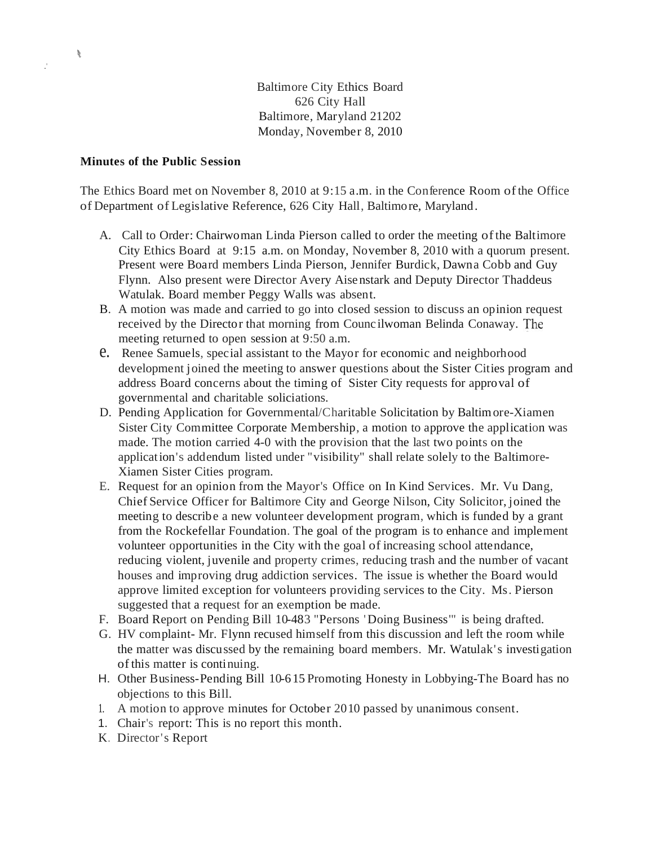Baltimore City Ethics Board 626 City Hall Baltimore, Maryland 21202 Monday, November 8, 2010

## **Minutes of the Public Session**

.'

 $\frac{1}{2}$ 

The Ethics Board met on November 8, 2010 at 9:15 a.m. in the Conference Room ofthe Office of Department of Legislative Reference, 626 City Hall, Baltimore, Maryland.

- A. Call to Order: Chairwoman Linda Pierson called to order the meeting ofthe Baltimore City Ethics Board at 9:15 a.m. on Monday, November 8, 2010 with a quorum present. Present were Board members Linda Pierson, Jennifer Burdick, Dawna Cobb and Guy Flynn. Also present were Director Avery Aise nstark and Deputy Director Thaddeus Watulak. Board member Peggy Walls was absent.
- B. A motion was made and carried to go into closed session to discuss an opinion request received by the Director that morning from Counc ilwoman Belinda Conaway. meeting returned to open session at 9:50 a.m.
- e. Renee Samuels, special assistant to the Mayor for economic and neighborhood development joined the meeting to answer questions about the Sister Cities program and address Board concerns about the timing of Sister City requests for approval of governmental and charitable soliciations.
- D. Pending Application for Governmental/Charitable Solicitation by Baltimore-Xiamen Sister City Committee Corporate Membership, a motion to approve the application was made. The motion carried 4-0 with the provision that the last two points on the application's addendum listed under "visibility" shall relate solely to the Baltimore-Xiamen Sister Cities program.
- E. Request for an opinion from the Mayor's Office on In Kind Services. Mr. Vu Dang, Chief Service Officer for Baltimore City and George Nilson, City Solicitor, joined the meeting to describe a new volunteer development program, which is funded by a grant from the Rockefellar Foundation. The goal of the program is to enhance and implement volunteer opportunities in the City with the goal of increasing school attendance, reducing violent, juvenile and property crimes, reducing trash and the number of vacant houses and improving drug addiction services. The issue is whether the Board would approve limited exception for volunteers providing services to the City. Ms. Pierson suggested that a request for an exemption be made.
- F. Board Report on Pending Bill 10-483 "Persons 'Doing Business'" is being drafted.
- G. HV complaint- Mr. Flynn recused himself from this discussion and left the room while the matter was discussed by the remaining board members. Mr. Watulak's investigation ofthis matter is continuing.
- H. Other Business-Pending Bill 10-615 Promoting Honesty in Lobbying-The Board has no objections to this Bill.
- 1. A motion to approve minutes for October 2010 passed by unanimous consent.
- 1. Chair's report: This is no report this month.
- K. Director's Report